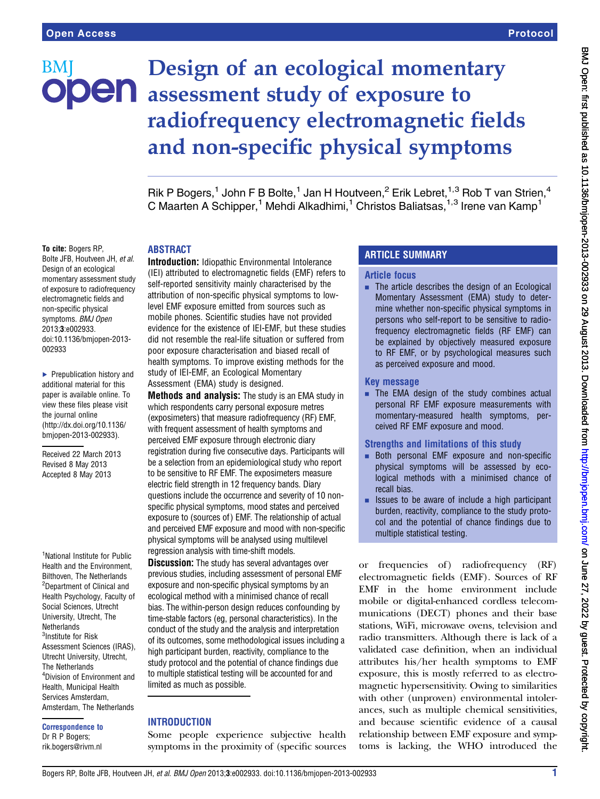BM

# Design of an ecological momentary **ODEN** assessment study of exposure to radiofrequency electromagnetic fields and non-specific physical symptoms

Rik P Bogers,<sup>1</sup> John F B Bolte,<sup>1</sup> Jan H Houtveen,<sup>2</sup> Erik Lebret,<sup>1,3</sup> Rob T van Strien,<sup>4</sup> C Maarten A Schipper,<sup>1</sup> Mehdi Alkadhimi,<sup>1</sup> Christos Baliatsas,<sup>1,3</sup> Irene van Kamp<sup>1</sup>

#### To cite: Bogers RP,

Bolte JFB, Houtveen JH, et al. Design of an ecological momentary assessment study of exposure to radiofrequency electromagnetic fields and non-specific physical symptoms. BMJ Open 2013;3:e002933. doi:10.1136/bmjopen-2013- 002933

▶ Prepublication history and additional material for this paper is available online. To view these files please visit the journal online [\(http://dx.doi.org/10.1136/](http://dx.doi.org/10.1136/bmjopen-2013-002933) [bmjopen-2013-002933](http://dx.doi.org/10.1136/bmjopen-2013-002933)).

Received 22 March 2013 Revised 8 May 2013 Accepted 8 May 2013

<sup>1</sup>National Institute for Public Health and the Environment, Bilthoven, The Netherlands <sup>2</sup>Department of Clinical and Health Psychology, Faculty of Social Sciences, Utrecht University, Utrecht, The **Netherlands** <sup>3</sup>Institute for Risk Assessment Sciences (IRAS), Utrecht University, Utrecht, The Netherlands 4 Division of Environment and Health, Municipal Health Services Amsterdam, Amsterdam, The Netherlands

#### Correspondence to

Dr R P Bogers; rik.bogers@rivm.nl

#### ABSTRACT

Introduction: Idiopathic Environmental Intolerance (IEI) attributed to electromagnetic fields (EMF) refers to self-reported sensitivity mainly characterised by the attribution of non-specific physical symptoms to lowlevel EMF exposure emitted from sources such as mobile phones. Scientific studies have not provided evidence for the existence of IEI-EMF, but these studies did not resemble the real-life situation or suffered from poor exposure characterisation and biased recall of health symptoms. To improve existing methods for the study of IEI-EMF, an Ecological Momentary Assessment (EMA) study is designed.

Methods and analysis: The study is an EMA study in which respondents carry personal exposure metres (exposimeters) that measure radiofrequency (RF) EMF, with frequent assessment of health symptoms and perceived EMF exposure through electronic diary registration during five consecutive days. Participants will be a selection from an epidemiological study who report to be sensitive to RF EMF. The exposimeters measure electric field strength in 12 frequency bands. Diary questions include the occurrence and severity of 10 nonspecific physical symptoms, mood states and perceived exposure to (sources of ) EMF. The relationship of actual and perceived EMF exposure and mood with non-specific physical symptoms will be analysed using multilevel regression analysis with time-shift models.

**Discussion:** The study has several advantages over previous studies, including assessment of personal EMF exposure and non-specific physical symptoms by an ecological method with a minimised chance of recall bias. The within-person design reduces confounding by time-stable factors (eg, personal characteristics). In the conduct of the study and the analysis and interpretation of its outcomes, some methodological issues including a high participant burden, reactivity, compliance to the study protocol and the potential of chance findings due to multiple statistical testing will be accounted for and limited as much as possible.

#### INTRODUCTION

Some people experience subjective health symptoms in the proximity of (specific sources

# ARTICLE SUMMARY

#### Article focus

 $\blacksquare$  The article describes the design of an Ecological Momentary Assessment (EMA) study to determine whether non-specific physical symptoms in persons who self-report to be sensitive to radiofrequency electromagnetic fields (RF EMF) can be explained by objectively measured exposure to RF EMF, or by psychological measures such as perceived exposure and mood.

#### Key message

 $\blacksquare$  The EMA design of the study combines actual personal RF EMF exposure measurements with momentary-measured health symptoms, perceived RF EMF exposure and mood.

#### Strengths and limitations of this study

- Both personal EMF exposure and non-specific physical symptoms will be assessed by ecological methods with a minimised chance of recall bias.
- Issues to be aware of include a high participant burden, reactivity, compliance to the study protocol and the potential of chance findings due to multiple statistical testing.

or frequencies of) radiofrequency (RF) electromagnetic fields (EMF). Sources of RF EMF in the home environment include mobile or digital-enhanced cordless telecommunications (DECT) phones and their base stations, WiFi, microwave ovens, television and radio transmitters. Although there is lack of a validated case definition, when an individual attributes his/her health symptoms to EMF exposure, this is mostly referred to as electromagnetic hypersensitivity. Owing to similarities with other (unproven) environmental intolerances, such as multiple chemical sensitivities, and because scientific evidence of a causal relationship between EMF exposure and symptoms is lacking, the WHO introduced the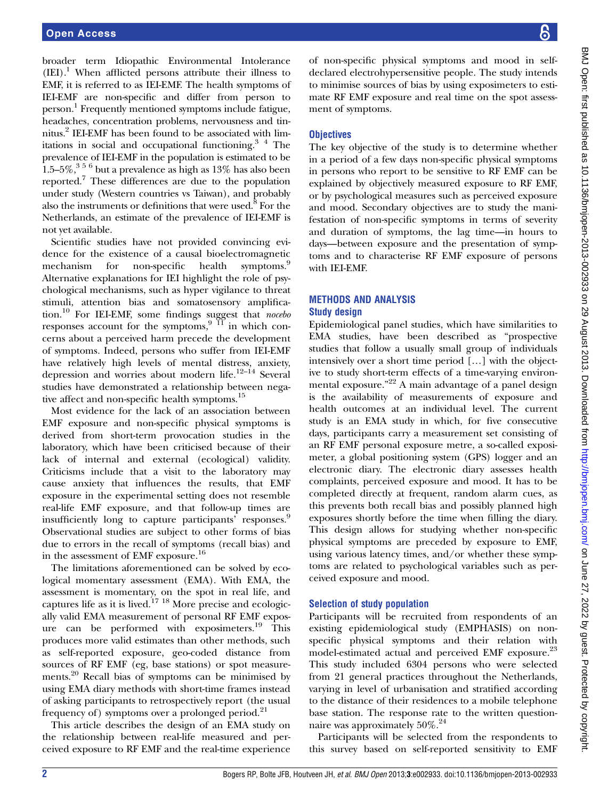broader term Idiopathic Environmental Intolerance  $(IEI).$ <sup>1</sup> When afflicted persons attribute their illness to EMF, it is referred to as IEI-EMF. The health symptoms of IEI-EMF are non-specific and differ from person to person. <sup>1</sup> Frequently mentioned symptoms include fatigue, headaches, concentration problems, nervousness and tinnitus.<sup>2</sup> IEI-EMF has been found to be associated with limitations in social and occupational functioning. $3<sup>3</sup>$  The prevalence of IEI-EMF in the population is estimated to be 1.5–5%,  $356$  but a prevalence as high as 13% has also been reported.7 These differences are due to the population under study (Western countries vs Taiwan), and probably also the instruments or definitions that were used.<sup>8</sup> For the Netherlands, an estimate of the prevalence of IEI-EMF is not yet available.

Scientific studies have not provided convincing evidence for the existence of a causal bioelectromagnetic mechanism for non-specific health symptoms.<sup>9</sup> Alternative explanations for IEI highlight the role of psychological mechanisms, such as hyper vigilance to threat stimuli, attention bias and somatosensory amplification.<sup>10</sup> For IEI-EMF, some findings suggest that nocebo responses account for the symptoms,<sup>9 11</sup> in which concerns about a perceived harm precede the development of symptoms. Indeed, persons who suffer from IEI-EMF have relatively high levels of mental distress, anxiety, depression and worries about modern life.<sup>12-14</sup> Several studies have demonstrated a relationship between negative affect and non-specific health symptoms.<sup>15</sup>

Most evidence for the lack of an association between EMF exposure and non-specific physical symptoms is derived from short-term provocation studies in the laboratory, which have been criticised because of their lack of internal and external (ecological) validity. Criticisms include that a visit to the laboratory may cause anxiety that influences the results, that EMF exposure in the experimental setting does not resemble real-life EMF exposure, and that follow-up times are insufficiently long to capture participants' responses.<sup>9</sup> Observational studies are subject to other forms of bias due to errors in the recall of symptoms (recall bias) and in the assessment of EMF exposure.<sup>16</sup>

The limitations aforementioned can be solved by ecological momentary assessment (EMA). With EMA, the assessment is momentary, on the spot in real life, and captures life as it is lived. $17 \text{ 18}$  More precise and ecologically valid EMA measurement of personal RF EMF exposure can be performed with exposimeters.<sup>19</sup> This produces more valid estimates than other methods, such as self-reported exposure, geo-coded distance from sources of RF EMF (eg, base stations) or spot measurements.<sup>20</sup> Recall bias of symptoms can be minimised by using EMA diary methods with short-time frames instead of asking participants to retrospectively report (the usual frequency of) symptoms over a prolonged period. $^{21}$ 

This article describes the design of an EMA study on the relationship between real-life measured and perceived exposure to RF EMF and the real-time experience

of non-specific physical symptoms and mood in selfdeclared electrohypersensitive people. The study intends to minimise sources of bias by using exposimeters to estimate RF EMF exposure and real time on the spot assessment of symptoms.

# **Objectives**

The key objective of the study is to determine whether in a period of a few days non-specific physical symptoms in persons who report to be sensitive to RF EMF can be explained by objectively measured exposure to RF EMF, or by psychological measures such as perceived exposure and mood. Secondary objectives are to study the manifestation of non-specific symptoms in terms of severity and duration of symptoms, the lag time—in hours to days—between exposure and the presentation of symptoms and to characterise RF EMF exposure of persons with IEI-EMF.

### METHODS AND ANALYSIS Study design

Epidemiological panel studies, which have similarities to EMA studies, have been described as "prospective studies that follow a usually small group of individuals intensively over a short time period […] with the objective to study short-term effects of a time-varying environmental exposure." <sup>22</sup> A main advantage of a panel design is the availability of measurements of exposure and health outcomes at an individual level. The current study is an EMA study in which, for five consecutive days, participants carry a measurement set consisting of an RF EMF personal exposure metre, a so-called exposimeter, a global positioning system (GPS) logger and an electronic diary. The electronic diary assesses health complaints, perceived exposure and mood. It has to be completed directly at frequent, random alarm cues, as this prevents both recall bias and possibly planned high exposures shortly before the time when filling the diary. This design allows for studying whether non-specific physical symptoms are preceded by exposure to EMF, using various latency times, and/or whether these symptoms are related to psychological variables such as perceived exposure and mood.

# Selection of study population

Participants will be recruited from respondents of an existing epidemiological study (EMPHASIS) on nonspecific physical symptoms and their relation with model-estimated actual and perceived EMF exposure.<sup>23</sup> This study included 6304 persons who were selected from 21 general practices throughout the Netherlands, varying in level of urbanisation and stratified according to the distance of their residences to a mobile telephone base station. The response rate to the written questionnaire was approximately 50%.<sup>24</sup>

Participants will be selected from the respondents to this survey based on self-reported sensitivity to EMF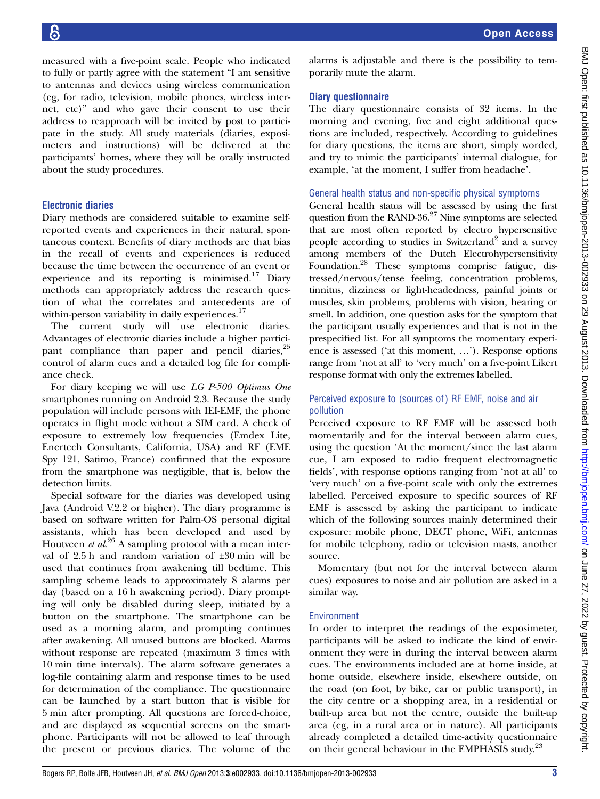measured with a five-point scale. People who indicated to fully or partly agree with the statement "I am sensitive to antennas and devices using wireless communication (eg, for radio, television, mobile phones, wireless internet, etc)" and who gave their consent to use their address to reapproach will be invited by post to participate in the study. All study materials (diaries, exposimeters and instructions) will be delivered at the participants' homes, where they will be orally instructed about the study procedures.

# Electronic diaries

Diary methods are considered suitable to examine selfreported events and experiences in their natural, spontaneous context. Benefits of diary methods are that bias in the recall of events and experiences is reduced because the time between the occurrence of an event or experience and its reporting is minimised.<sup>17</sup> Diary methods can appropriately address the research question of what the correlates and antecedents are of within-person variability in daily experiences.<sup>17</sup>

The current study will use electronic diaries. Advantages of electronic diaries include a higher participant compliance than paper and pencil diaries,<sup>25</sup> control of alarm cues and a detailed log file for compliance check.

For diary keeping we will use LG P-500 Optimus One smartphones running on Android 2.3. Because the study population will include persons with IEI-EMF, the phone operates in flight mode without a SIM card. A check of exposure to extremely low frequencies (Emdex Lite, Enertech Consultants, California, USA) and RF (EME Spy 121, Satimo, France) confirmed that the exposure from the smartphone was negligible, that is, below the detection limits.

Special software for the diaries was developed using Java (Android V.2.2 or higher). The diary programme is based on software written for Palm-OS personal digital assistants, which has been developed and used by Houtveen *et al.*<sup>26</sup> A sampling protocol with a mean interval of 2.5 h and random variation of ±30 min will be used that continues from awakening till bedtime. This sampling scheme leads to approximately 8 alarms per day (based on a 16 h awakening period). Diary prompting will only be disabled during sleep, initiated by a button on the smartphone. The smartphone can be used as a morning alarm, and prompting continues after awakening. All unused buttons are blocked. Alarms without response are repeated (maximum 3 times with 10 min time intervals). The alarm software generates a log-file containing alarm and response times to be used for determination of the compliance. The questionnaire can be launched by a start button that is visible for 5 min after prompting. All questions are forced-choice, and are displayed as sequential screens on the smartphone. Participants will not be allowed to leaf through the present or previous diaries. The volume of the

alarms is adjustable and there is the possibility to temporarily mute the alarm.

# Diary questionnaire

The diary questionnaire consists of 32 items. In the morning and evening, five and eight additional questions are included, respectively. According to guidelines for diary questions, the items are short, simply worded, and try to mimic the participants' internal dialogue, for example, 'at the moment, I suffer from headache'.

### General health status and non-specific physical symptoms

General health status will be assessed by using the first question from the RAND- $36.27$  Nine symptoms are selected that are most often reported by electro hypersensitive people according to studies in Switzerland<sup>2</sup> and a survey among members of the Dutch Electrohypersensitivity Foundation.28 These symptoms comprise fatigue, distressed/nervous/tense feeling, concentration problems, tinnitus, dizziness or light-headedness, painful joints or muscles, skin problems, problems with vision, hearing or smell. In addition, one question asks for the symptom that the participant usually experiences and that is not in the prespecified list. For all symptoms the momentary experience is assessed ('at this moment, …'). Response options range from 'not at all' to 'very much' on a five-point Likert response format with only the extremes labelled.

# Perceived exposure to (sources of ) RF EMF, noise and air pollution

Perceived exposure to RF EMF will be assessed both momentarily and for the interval between alarm cues, using the question 'At the moment/since the last alarm cue, I am exposed to radio frequent electromagnetic fields', with response options ranging from 'not at all' to 'very much' on a five-point scale with only the extremes labelled. Perceived exposure to specific sources of RF EMF is assessed by asking the participant to indicate which of the following sources mainly determined their exposure: mobile phone, DECT phone, WiFi, antennas for mobile telephony, radio or television masts, another source.

Momentary (but not for the interval between alarm cues) exposures to noise and air pollution are asked in a similar way.

# Environment

In order to interpret the readings of the exposimeter, participants will be asked to indicate the kind of environment they were in during the interval between alarm cues. The environments included are at home inside, at home outside, elsewhere inside, elsewhere outside, on the road (on foot, by bike, car or public transport), in the city centre or a shopping area, in a residential or built-up area but not the centre, outside the built-up area (eg, in a rural area or in nature). All participants already completed a detailed time-activity questionnaire on their general behaviour in the EMPHASIS study.<sup>23</sup>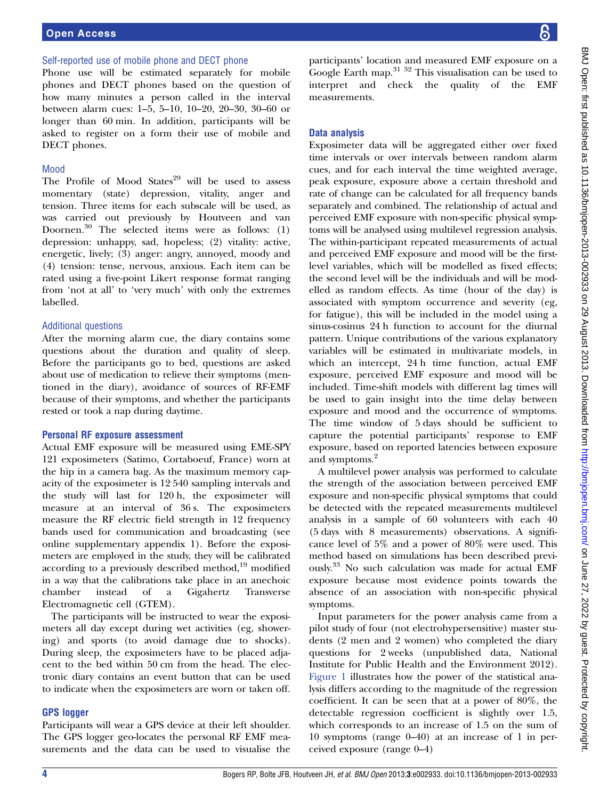# Self-reported use of mobile phone and DECT phone

Phone use will be estimated separately for mobile phones and DECT phones based on the question of how many minutes a person called in the interval between alarm cues: 1–5, 5–10, 10–20, 20–30, 30–60 or longer than 60 min. In addition, participants will be asked to register on a form their use of mobile and DECT phones.

### Mood

The Profile of Mood States<sup>29</sup> will be used to assess momentary (state) depression, vitality, anger and tension. Three items for each subscale will be used, as was carried out previously by Houtveen and van Doornen.<sup>30</sup> The selected items were as follows: (1) depression: unhappy, sad, hopeless; (2) vitality: active, energetic, lively; (3) anger: angry, annoyed, moody and (4) tension: tense, nervous, anxious. Each item can be rated using a five-point Likert response format ranging from 'not at all' to 'very much' with only the extremes labelled.

# Additional questions

After the morning alarm cue, the diary contains some questions about the duration and quality of sleep. Before the participants go to bed, questions are asked about use of medication to relieve their symptoms (mentioned in the diary), avoidance of sources of RF-EMF because of their symptoms, and whether the participants rested or took a nap during daytime.

#### Personal RF exposure assessment

Actual EMF exposure will be measured using EME-SPY 121 exposimeters (Satimo, Cortaboeuf, France) worn at the hip in a camera bag. As the maximum memory capacity of the exposimeter is 12 540 sampling intervals and the study will last for 120 h, the exposimeter will measure at an interval of 36 s. The exposimeters measure the RF electric field strength in 12 frequency bands used for communication and broadcasting (see online supplementary appendix 1). Before the exposimeters are employed in the study, they will be calibrated according to a previously described method, $^{19}$  modified in a way that the calibrations take place in an anechoic chamber instead of a Gigahertz Transverse Electromagnetic cell (GTEM).

The participants will be instructed to wear the exposimeters all day except during wet activities (eg, showering) and sports (to avoid damage due to shocks). During sleep, the exposimeters have to be placed adjacent to the bed within 50 cm from the head. The electronic diary contains an event button that can be used to indicate when the exposimeters are worn or taken off.

#### GPS logger

Participants will wear a GPS device at their left shoulder. The GPS logger geo-locates the personal RF EMF measurements and the data can be used to visualise the

participants' location and measured EMF exposure on a Google Earth map. $31^{32}$  This visualisation can be used to interpret and check the quality of the EMF measurements.

# Data analysis

Exposimeter data will be aggregated either over fixed time intervals or over intervals between random alarm cues, and for each interval the time weighted average, peak exposure, exposure above a certain threshold and rate of change can be calculated for all frequency bands separately and combined. The relationship of actual and perceived EMF exposure with non-specific physical symptoms will be analysed using multilevel regression analysis. The within-participant repeated measurements of actual and perceived EMF exposure and mood will be the firstlevel variables, which will be modelled as fixed effects; the second level will be the individuals and will be modelled as random effects. As time (hour of the day) is associated with symptom occurrence and severity (eg, for fatigue), this will be included in the model using a sinus-cosinus 24 h function to account for the diurnal pattern. Unique contributions of the various explanatory variables will be estimated in multivariate models, in which an intercept, 24 h time function, actual EMF exposure, perceived EMF exposure and mood will be included. Time-shift models with different lag times will be used to gain insight into the time delay between exposure and mood and the occurrence of symptoms. The time window of 5 days should be sufficient to capture the potential participants' response to EMF exposure, based on reported latencies between exposure and symptoms.<sup>2</sup>

A multilevel power analysis was performed to calculate the strength of the association between perceived EMF exposure and non-specific physical symptoms that could be detected with the repeated measurements multilevel analysis in a sample of 60 volunteers with each 40 (5 days with 8 measurements) observations. A significance level of 5% and a power of 80% were used. This method based on simulations has been described previously.33 No such calculation was made for actual EMF exposure because most evidence points towards the absence of an association with non-specific physical symptoms.

Input parameters for the power analysis came from a pilot study of four (not electrohypersensitive) master students (2 men and 2 women) who completed the diary questions for 2 weeks (unpublished data, National Institute for Public Health and the Environment 2012). Figure 1 illustrates how the power of the statistical analysis differs according to the magnitude of the regression coefficient. It can be seen that at a power of 80%, the detectable regression coefficient is slightly over 1.5, which corresponds to an increase of 1.5 on the sum of 10 symptoms (range 0–40) at an increase of 1 in perceived exposure (range 0–4)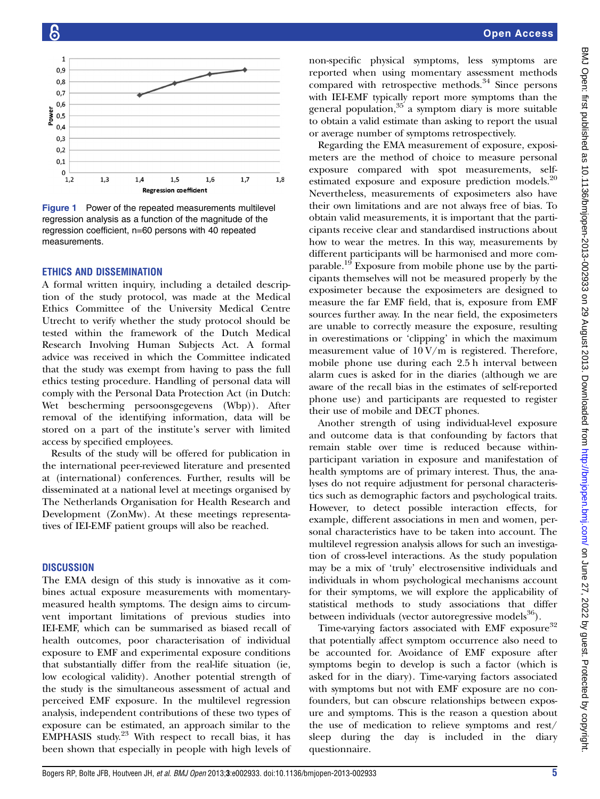



Figure 1 Power of the repeated measurements multilevel regression analysis as a function of the magnitude of the regression coefficient, n=60 persons with 40 repeated measurements.

#### ETHICS AND DISSEMINATION

A formal written inquiry, including a detailed description of the study protocol, was made at the Medical Ethics Committee of the University Medical Centre Utrecht to verify whether the study protocol should be tested within the framework of the Dutch Medical Research Involving Human Subjects Act. A formal advice was received in which the Committee indicated that the study was exempt from having to pass the full ethics testing procedure. Handling of personal data will comply with the Personal Data Protection Act (in Dutch: Wet bescherming persoonsgegevens (Wbp)). After removal of the identifying information, data will be stored on a part of the institute's server with limited access by specified employees.

Results of the study will be offered for publication in the international peer-reviewed literature and presented at (international) conferences. Further, results will be disseminated at a national level at meetings organised by The Netherlands Organisation for Health Research and Development (ZonMw). At these meetings representatives of IEI-EMF patient groups will also be reached.

#### **DISCUSSION**

The EMA design of this study is innovative as it combines actual exposure measurements with momentarymeasured health symptoms. The design aims to circumvent important limitations of previous studies into IEI-EMF, which can be summarised as biased recall of health outcomes, poor characterisation of individual exposure to EMF and experimental exposure conditions that substantially differ from the real-life situation (ie, low ecological validity). Another potential strength of the study is the simultaneous assessment of actual and perceived EMF exposure. In the multilevel regression analysis, independent contributions of these two types of exposure can be estimated, an approach similar to the EMPHASIS study. $23$  With respect to recall bias, it has been shown that especially in people with high levels of

non-specific physical symptoms, less symptoms are reported when using momentary assessment methods compared with retrospective methods.<sup>34</sup> Since persons with IEI-EMF typically report more symptoms than the general population,<sup>35</sup> a symptom diary is more suitable to obtain a valid estimate than asking to report the usual or average number of symptoms retrospectively.

Regarding the EMA measurement of exposure, exposimeters are the method of choice to measure personal exposure compared with spot measurements, selfestimated exposure and exposure prediction models.<sup>20</sup> Nevertheless, measurements of exposimeters also have their own limitations and are not always free of bias. To obtain valid measurements, it is important that the participants receive clear and standardised instructions about how to wear the metres. In this way, measurements by different participants will be harmonised and more comparable.<sup>19</sup> Exposure from mobile phone use by the participants themselves will not be measured properly by the exposimeter because the exposimeters are designed to measure the far EMF field, that is, exposure from EMF sources further away. In the near field, the exposimeters are unable to correctly measure the exposure, resulting in overestimations or 'clipping' in which the maximum measurement value of  $10 \text{ V/m}$  is registered. Therefore, mobile phone use during each 2.5 h interval between alarm cues is asked for in the diaries (although we are aware of the recall bias in the estimates of self-reported phone use) and participants are requested to register their use of mobile and DECT phones.

Another strength of using individual-level exposure and outcome data is that confounding by factors that remain stable over time is reduced because withinparticipant variation in exposure and manifestation of health symptoms are of primary interest. Thus, the analyses do not require adjustment for personal characteristics such as demographic factors and psychological traits. However, to detect possible interaction effects, for example, different associations in men and women, personal characteristics have to be taken into account. The multilevel regression analysis allows for such an investigation of cross-level interactions. As the study population may be a mix of 'truly' electrosensitive individuals and individuals in whom psychological mechanisms account for their symptoms, we will explore the applicability of statistical methods to study associations that differ between individuals (vector autoregressive models $^{36}$ ).

Time-varying factors associated with EMF exposure<sup>32</sup> that potentially affect symptom occurrence also need to be accounted for. Avoidance of EMF exposure after symptoms begin to develop is such a factor (which is asked for in the diary). Time-varying factors associated with symptoms but not with EMF exposure are no confounders, but can obscure relationships between exposure and symptoms. This is the reason a question about the use of medication to relieve symptoms and rest/ sleep during the day is included in the diary questionnaire.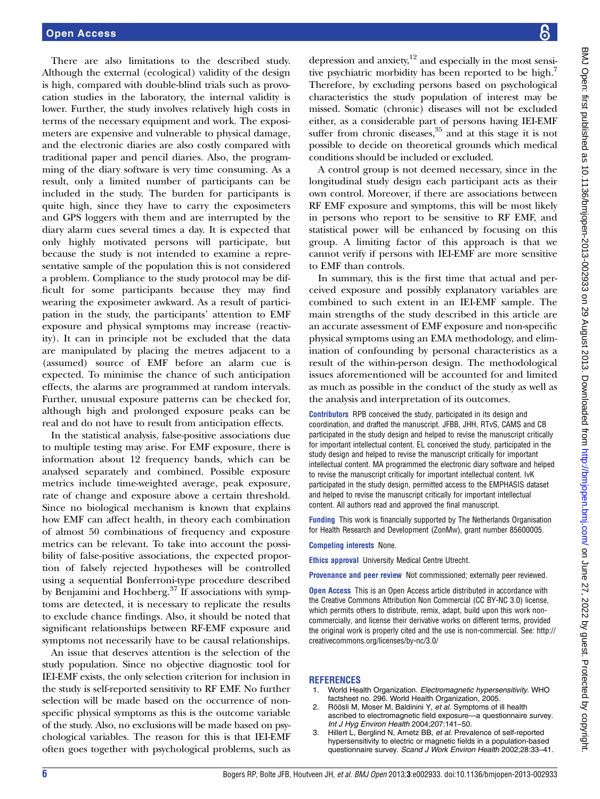There are also limitations to the described study. Although the external (ecological) validity of the design is high, compared with double-blind trials such as provocation studies in the laboratory, the internal validity is lower. Further, the study involves relatively high costs in terms of the necessary equipment and work. The exposimeters are expensive and vulnerable to physical damage, and the electronic diaries are also costly compared with traditional paper and pencil diaries. Also, the programming of the diary software is very time consuming. As a result, only a limited number of participants can be included in the study. The burden for participants is quite high, since they have to carry the exposimeters and GPS loggers with them and are interrupted by the diary alarm cues several times a day. It is expected that only highly motivated persons will participate, but because the study is not intended to examine a representative sample of the population this is not considered a problem. Compliance to the study protocol may be difficult for some participants because they may find wearing the exposimeter awkward. As a result of participation in the study, the participants' attention to EMF exposure and physical symptoms may increase (reactivity). It can in principle not be excluded that the data are manipulated by placing the metres adjacent to a (assumed) source of EMF before an alarm cue is expected. To minimise the chance of such anticipation effects, the alarms are programmed at random intervals. Further, unusual exposure patterns can be checked for, although high and prolonged exposure peaks can be real and do not have to result from anticipation effects.

In the statistical analysis, false-positive associations due to multiple testing may arise. For EMF exposure, there is information about 12 frequency bands, which can be analysed separately and combined. Possible exposure metrics include time-weighted average, peak exposure, rate of change and exposure above a certain threshold. Since no biological mechanism is known that explains how EMF can affect health, in theory each combination of almost 50 combinations of frequency and exposure metrics can be relevant. To take into account the possibility of false-positive associations, the expected proportion of falsely rejected hypotheses will be controlled using a sequential Bonferroni-type procedure described by Benjamini and Hochberg.<sup>37</sup> If associations with symptoms are detected, it is necessary to replicate the results to exclude chance findings. Also, it should be noted that significant relationships between RF-EMF exposure and symptoms not necessarily have to be causal relationships.

An issue that deserves attention is the selection of the study population. Since no objective diagnostic tool for IEI-EMF exists, the only selection criterion for inclusion in the study is self-reported sensitivity to RF EMF. No further selection will be made based on the occurrence of nonspecific physical symptoms as this is the outcome variable of the study. Also, no exclusions will be made based on psychological variables. The reason for this is that IEI-EMF often goes together with psychological problems, such as

BMJ Open: first published as 10.1136/bmjopen-2013-002933 on 29 August 2013. Downloaded from http://bmjopen.bmj.com/ on June 27, 2022 by guest. Protected by copyright BMJ Open: first published as 10.1136/bmjopen-2013-002933 on 29 August 2013. Downloaded from <http://bmjopen.bmj.com/> on June 27, 2022 by guest. Protected by copyright.

depression and anxiety, $12$  and especially in the most sensitive psychiatric morbidity has been reported to be high.<sup>7</sup> Therefore, by excluding persons based on psychological characteristics the study population of interest may be missed. Somatic (chronic) diseases will not be excluded either, as a considerable part of persons having IEI-EMF suffer from chronic diseases, $35$  and at this stage it is not possible to decide on theoretical grounds which medical conditions should be included or excluded.

A control group is not deemed necessary, since in the longitudinal study design each participant acts as their own control. Moreover, if there are associations between RF EMF exposure and symptoms, this will be most likely in persons who report to be sensitive to RF EMF, and statistical power will be enhanced by focusing on this group. A limiting factor of this approach is that we cannot verify if persons with IEI-EMF are more sensitive to EMF than controls.

In summary, this is the first time that actual and perceived exposure and possibly explanatory variables are combined to such extent in an IEI-EMF sample. The main strengths of the study described in this article are an accurate assessment of EMF exposure and non-specific physical symptoms using an EMA methodology, and elimination of confounding by personal characteristics as a result of the within-person design. The methodological issues aforementioned will be accounted for and limited as much as possible in the conduct of the study as well as the analysis and interpretation of its outcomes.

Contributors RPB conceived the study, participated in its design and coordination, and drafted the manuscript. JFBB, JHH, RTvS, CAMS and CB participated in the study design and helped to revise the manuscript critically for important intellectual content. EL conceived the study, participated in the study design and helped to revise the manuscript critically for important intellectual content. MA programmed the electronic diary software and helped to revise the manuscript critically for important intellectual content. IvK participated in the study design, permitted access to the EMPHASIS dataset and helped to revise the manuscript critically for important intellectual content. All authors read and approved the final manuscript.

Funding This work is financially supported by The Netherlands Organisation for Health Research and Development (ZonMw), grant number 85600005.

Competing interests None.

Ethics approval University Medical Centre Utrecht.

Provenance and peer review Not commissioned; externally peer reviewed.

**Open Access** This is an Open Access article distributed in accordance with the Creative Commons Attribution Non Commercial (CC BY-NC 3.0) license, which permits others to distribute, remix, adapt, build upon this work noncommercially, and license their derivative works on different terms, provided the original work is properly cited and the use is non-commercial. See: [http://](http://creativecommons.org/licenses/by-nc/3.0/) [creativecommons.org/licenses/by-nc/3.0/](http://creativecommons.org/licenses/by-nc/3.0/)

#### **REFERENCES**

- 1. World Health Organization. Electromagnetic hypersensitivity. WHO factsheet no. 296. World Health Organization, 2005.
- Röösli M, Moser M, Baldinini Y, et al. Symptoms of ill health ascribed to electromagnetic field exposure—a questionnaire survey. Int J Hyg Environ Health 2004;207:141–50.
- 3. Hillert L, Berglind N, Arnetz BB, et al. Prevalence of self-reported hypersensitivity to electric or magnetic fields in a population-based questionnaire survey. Scand J Work Environ Health 2002;28:33–41.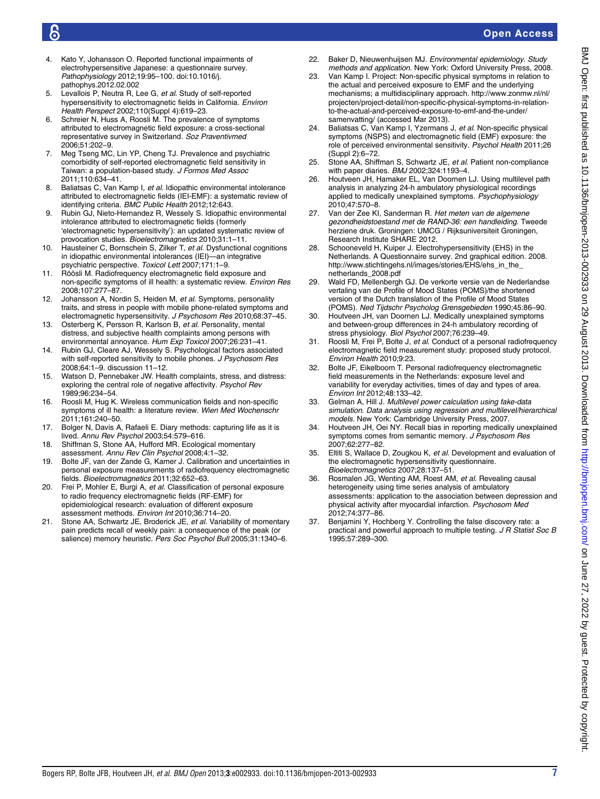# Open Access

- 4. Kato Y, Johansson O. Reported functional impairments of electrohypersensitive Japanese: a questionnaire survey. Pathophysiology 2012;19:95–100. doi:10.1016/j. pathophys.2012.02.002
- 5. Levallois P, Neutra R, Lee G, et al. Study of self-reported hypersensitivity to electromagnetic fields in California. Environ Health Perspect 2002;110(Suppl 4):619–23.
- 6. Schreier N, Huss A, Roosli M. The prevalence of symptoms attributed to electromagnetic field exposure: a cross-sectional representative survey in Switzerland. Soz Praventivmed 2006;51:202–9.
- 7. Meg Tseng MC, Lin YP, Cheng TJ. Prevalence and psychiatric comorbidity of self-reported electromagnetic field sensitivity in Taiwan: a population-based study. J Formos Med Assoc 2011;110:634–41.
- 8. Baliatsas C, Van Kamp I, et al. Idiopathic environmental intolerance attributed to electromagnetic fields (IEI-EMF): a systematic review of identifying criteria. BMC Public Health 2012;12:643.
- 9. Rubin GJ, Nieto-Hernandez R, Wessely S. Idiopathic environmental intolerance attributed to electromagnetic fields (formerly 'electromagnetic hypersensitivity'): an updated systematic review of provocation studies. Bioelectromagnetics 2010;31:1–11.
- 10. Hausteiner C, Bornschein S, Zilker T, et al. Dysfunctional cognitions in idiopathic environmental intolerances (IEI)—an integrative psychiatric perspective. Toxicol Lett 2007;171:1–9.
- 11. Röösli M. Radiofrequency electromagnetic field exposure and non-specific symptoms of ill health: a systematic review. Environ Res 2008;107:277–87.
- 12. Johansson A, Nordin S, Heiden M, et al. Symptoms, personality traits, and stress in people with mobile phone-related symptoms and electromagnetic hypersensitivity. J Psychosom Res 2010;68:37–45.
- 13. Osterberg K, Persson R, Karlson B, et al. Personality, mental distress, and subjective health complaints among persons with environmental annoyance. Hum Exp Toxicol 2007;26:231–41.
- 14. Rubin GJ, Cleare AJ, Wessely S. Psychological factors associated with self-reported sensitivity to mobile phones. J Psychosom Res 2008;64:1–9. discussion 11–12.
- 15. Watson D, Pennebaker JW. Health complaints, stress, and distress: exploring the central role of negative affectivity. Psychol Rev 1989;96:234–54.
- 16. Roosli M, Hug K. Wireless communication fields and non-specific symptoms of ill health: a literature review. Wien Med Wochenschr 2011;161:240–50.
- 17. Bolger N, Davis A, Rafaeli E. Diary methods: capturing life as it is lived. Annu Rev Psychol 2003;54:579–616.
- 18. Shiffman S, Stone AA, Hufford MR. Ecological momentary assessment. Annu Rev Clin Psychol 2008;4:1–32.
- 19. Bolte JF, van der Zande G, Kamer J. Calibration and uncertainties in personal exposure measurements of radiofrequency electromagnetic fields. Bioelectromagnetics 2011;32:652–63.
- 20. Frei P, Mohler E, Burgi A, et al. Classification of personal exposure to radio frequency electromagnetic fields (RF-EMF) for epidemiological research: evaluation of different exposure assessment methods. Environ Int 2010;36:714–20.
- 21. Stone AA, Schwartz JE, Broderick JE, et al. Variability of momentary pain predicts recall of weekly pain: a consequence of the peak (or salience) memory heuristic. Pers Soc Psychol Bull 2005;31:1340-6.
- 22. Baker D. Nieuwenhuijsen MJ. Environmental epidemiology. Study methods and application. New York: Oxford University Press, 2008.
- 23. Van Kamp I. Project: Non-specific physical symptoms in relation to the actual and perceived exposure to EMF and the underlying mechanisms; a multidisciplinary approach. [http://www.zonmw.nl/nl/](http://www.zonmw.nl/nl/projecten/project-detail/non-specific-physical-symptoms-in-relation-to-the-actual-and-perceived-exposure-to-emf-and-the-under/samenvatting/) [projecten/project-detail/non-specific-physical-symptoms-in-relation](http://www.zonmw.nl/nl/projecten/project-detail/non-specific-physical-symptoms-in-relation-to-the-actual-and-perceived-exposure-to-emf-and-the-under/samenvatting/)[to-the-actual-and-perceived-exposure-to-emf-and-the-under/](http://www.zonmw.nl/nl/projecten/project-detail/non-specific-physical-symptoms-in-relation-to-the-actual-and-perceived-exposure-to-emf-and-the-under/samenvatting/) [samenvatting/](http://www.zonmw.nl/nl/projecten/project-detail/non-specific-physical-symptoms-in-relation-to-the-actual-and-perceived-exposure-to-emf-and-the-under/samenvatting/) (accessed Mar 2013).
- 24. Baliatsas C, Van Kamp I, Yzermans J, et al. Non-specific physical symptoms (NSPS) and electromagnetic field (EMF) exposure: the role of perceived environmental sensitivity. Psychol Health 2011;26 (Suppl 2):6–72.
- 25. Stone AA, Shiffman S, Schwartz JE, et al. Patient non-compliance with paper diaries. BMJ 2002;324:1193–4.
- 26. Houtveen JH, Hamaker EL, Van Doornen LJ. Using multilevel path analysis in analyzing 24-h ambulatory physiological recordings applied to medically unexplained symptoms. Psychophysiology 2010;47:570–8.
- 27. Van der Zee KI, Sanderman R. Het meten van de algemene gezondheidstoestand met de RAND-36: een handleiding. Tweede herziene druk. Groningen: UMCG / Rijksuniversiteit Groningen, Research Institute SHARE 2012.
- 28. Schooneveld H, Kuiper J. Electrohypersensitivity (EHS) in the Netherlands. A Questionnaire survey. 2nd graphical edition. 2008. [http://www.stichtingehs.nl/images/stories/EHS/ehs\\_in\\_the\\_](http://www.stichtingehs.nl/images/stories/EHS/ehs_in_the_netherlands_2008.pdf) [netherlands\\_2008.pdf](http://www.stichtingehs.nl/images/stories/EHS/ehs_in_the_netherlands_2008.pdf)
- 29. Wald FD, Mellenbergh GJ. De verkorte versie van de Nederlandse vertaling van de Profile of Mood States (POMS)/the shortened version of the Dutch translation of the Profile of Mood States (POMS). Ned Tijdschr Psycholog Grensgebieden 1990;45:86–90.
- 30. Houtveen JH, van Doornen LJ. Medically unexplained symptoms and between-group differences in 24-h ambulatory recording of stress physiology. Biol Psychol 2007;76:239-49.
- 31. Roosli M, Frei P, Bolte J, et al. Conduct of a personal radiofrequency electromagnetic field measurement study: proposed study protocol. Environ Health 2010;9:23.
- 32. Bolte JF, Eikelboom T. Personal radiofrequency electromagnetic field measurements in the Netherlands: exposure level and variability for everyday activities, times of day and types of area. Environ Int 2012;48:133–42.
- Gelman A, Hill J. Multilevel power calculation using fake-data simulation. Data analysis using regression and multilevel/hierarchical models. New York: Cambridge University Press, 2007.
- 34. Houtveen JH, Oei NY. Recall bias in reporting medically unexplained symptoms comes from semantic memory. J Psychosom Res 2007;62:277–82.
- 35. Eltiti S, Wallace D, Zougkou K, et al. Development and evaluation of the electromagnetic hypersensitivity questionnaire. Bioelectromagnetics 2007;28:137–51.
- 36. Rosmalen JG, Wenting AM, Roest AM, et al. Revealing causal heterogeneity using time series analysis of ambulatory assessments: application to the association between depression and physical activity after myocardial infarction. Psychosom Med 2012;74:377–86.
- 37. Benjamini Y, Hochberg Y. Controlling the false discovery rate: a practical and powerful approach to multiple testing. J R Statist Soc B 1995;57:289–300.